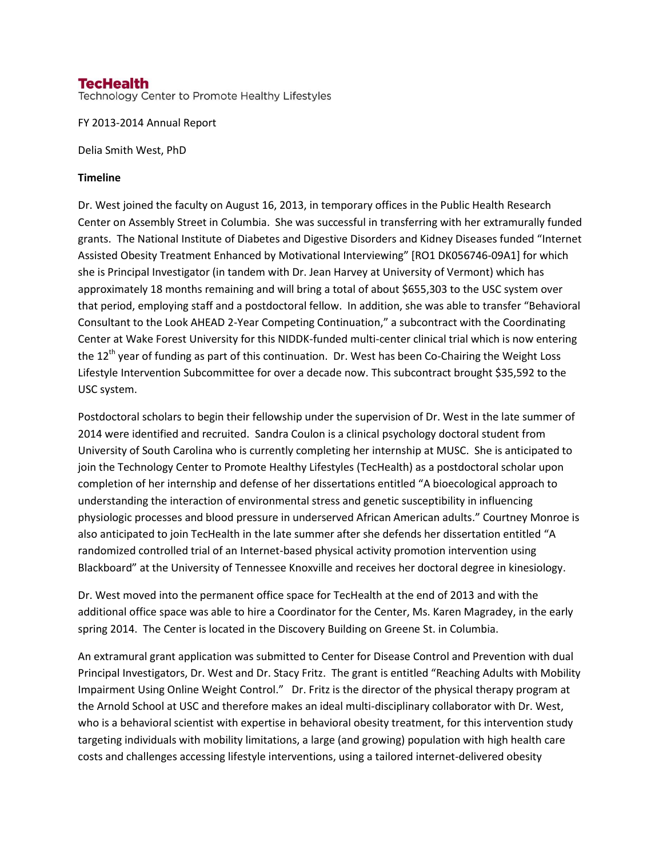# **TecHealth**

Technology Center to Promote Healthy Lifestyles

FY 2013-2014 Annual Report

Delia Smith West, PhD

#### **Timeline**

Dr. West joined the faculty on August 16, 2013, in temporary offices in the Public Health Research Center on Assembly Street in Columbia. She was successful in transferring with her extramurally funded grants. The National Institute of Diabetes and Digestive Disorders and Kidney Diseases funded "Internet Assisted Obesity Treatment Enhanced by Motivational Interviewing" [RO1 DK056746-09A1] for which she is Principal Investigator (in tandem with Dr. Jean Harvey at University of Vermont) which has approximately 18 months remaining and will bring a total of about \$655,303 to the USC system over that period, employing staff and a postdoctoral fellow. In addition, she was able to transfer "Behavioral Consultant to the Look AHEAD 2-Year Competing Continuation," a subcontract with the Coordinating Center at Wake Forest University for this NIDDK-funded multi-center clinical trial which is now entering the 12<sup>th</sup> year of funding as part of this continuation. Dr. West has been Co-Chairing the Weight Loss Lifestyle Intervention Subcommittee for over a decade now. This subcontract brought \$35,592 to the USC system.

Postdoctoral scholars to begin their fellowship under the supervision of Dr. West in the late summer of 2014 were identified and recruited. Sandra Coulon is a clinical psychology doctoral student from University of South Carolina who is currently completing her internship at MUSC. She is anticipated to join the Technology Center to Promote Healthy Lifestyles (TecHealth) as a postdoctoral scholar upon completion of her internship and defense of her dissertations entitled "A bioecological approach to understanding the interaction of environmental stress and genetic susceptibility in influencing physiologic processes and blood pressure in underserved African American adults." Courtney Monroe is also anticipated to join TecHealth in the late summer after she defends her dissertation entitled "A randomized controlled trial of an Internet-based physical activity promotion intervention using Blackboard" at the University of Tennessee Knoxville and receives her doctoral degree in kinesiology.

Dr. West moved into the permanent office space for TecHealth at the end of 2013 and with the additional office space was able to hire a Coordinator for the Center, Ms. Karen Magradey, in the early spring 2014. The Center is located in the Discovery Building on Greene St. in Columbia.

An extramural grant application was submitted to Center for Disease Control and Prevention with dual Principal Investigators, Dr. West and Dr. Stacy Fritz. The grant is entitled "Reaching Adults with Mobility Impairment Using Online Weight Control." Dr. Fritz is the director of the physical therapy program at the Arnold School at USC and therefore makes an ideal multi-disciplinary collaborator with Dr. West, who is a behavioral scientist with expertise in behavioral obesity treatment, for this intervention study targeting individuals with mobility limitations, a large (and growing) population with high health care costs and challenges accessing lifestyle interventions, using a tailored internet-delivered obesity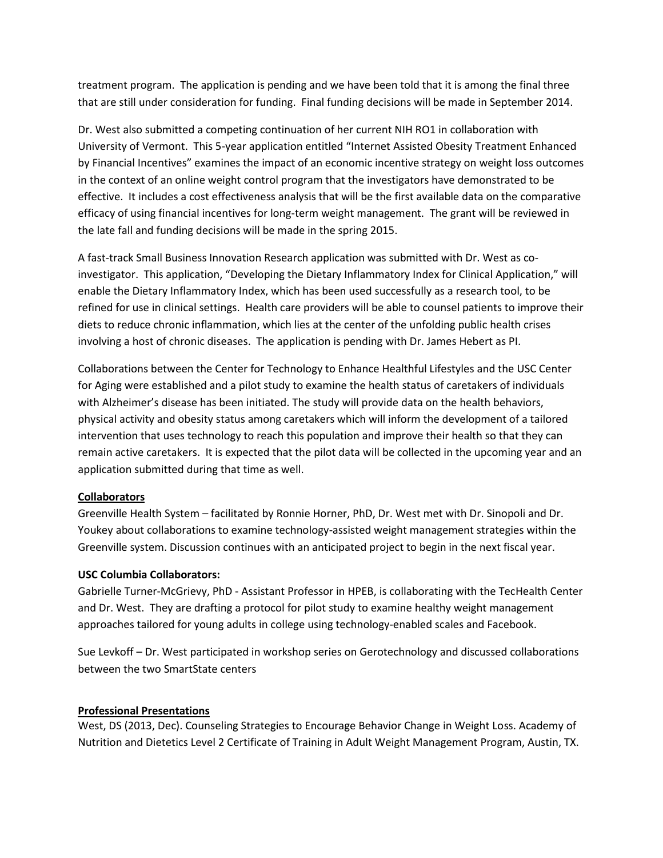treatment program. The application is pending and we have been told that it is among the final three that are still under consideration for funding. Final funding decisions will be made in September 2014.

Dr. West also submitted a competing continuation of her current NIH RO1 in collaboration with University of Vermont. This 5-year application entitled "Internet Assisted Obesity Treatment Enhanced by Financial Incentives" examines the impact of an economic incentive strategy on weight loss outcomes in the context of an online weight control program that the investigators have demonstrated to be effective. It includes a cost effectiveness analysis that will be the first available data on the comparative efficacy of using financial incentives for long-term weight management. The grant will be reviewed in the late fall and funding decisions will be made in the spring 2015.

A fast-track Small Business Innovation Research application was submitted with Dr. West as coinvestigator. This application, "Developing the Dietary Inflammatory Index for Clinical Application," will enable the Dietary Inflammatory Index, which has been used successfully as a research tool, to be refined for use in clinical settings. Health care providers will be able to counsel patients to improve their diets to reduce chronic inflammation, which lies at the center of the unfolding public health crises involving a host of chronic diseases. The application is pending with Dr. James Hebert as PI.

Collaborations between the Center for Technology to Enhance Healthful Lifestyles and the USC Center for Aging were established and a pilot study to examine the health status of caretakers of individuals with Alzheimer's disease has been initiated. The study will provide data on the health behaviors, physical activity and obesity status among caretakers which will inform the development of a tailored intervention that uses technology to reach this population and improve their health so that they can remain active caretakers. It is expected that the pilot data will be collected in the upcoming year and an application submitted during that time as well.

## **Collaborators**

Greenville Health System – facilitated by Ronnie Horner, PhD, Dr. West met with Dr. Sinopoli and Dr. Youkey about collaborations to examine technology-assisted weight management strategies within the Greenville system. Discussion continues with an anticipated project to begin in the next fiscal year.

#### **USC Columbia Collaborators:**

Gabrielle Turner-McGrievy, PhD - Assistant Professor in HPEB, is collaborating with the TecHealth Center and Dr. West. They are drafting a protocol for pilot study to examine healthy weight management approaches tailored for young adults in college using technology-enabled scales and Facebook.

Sue Levkoff – Dr. West participated in workshop series on Gerotechnology and discussed collaborations between the two SmartState centers

#### **Professional Presentations**

West, DS (2013, Dec). Counseling Strategies to Encourage Behavior Change in Weight Loss. Academy of Nutrition and Dietetics Level 2 Certificate of Training in Adult Weight Management Program, Austin, TX.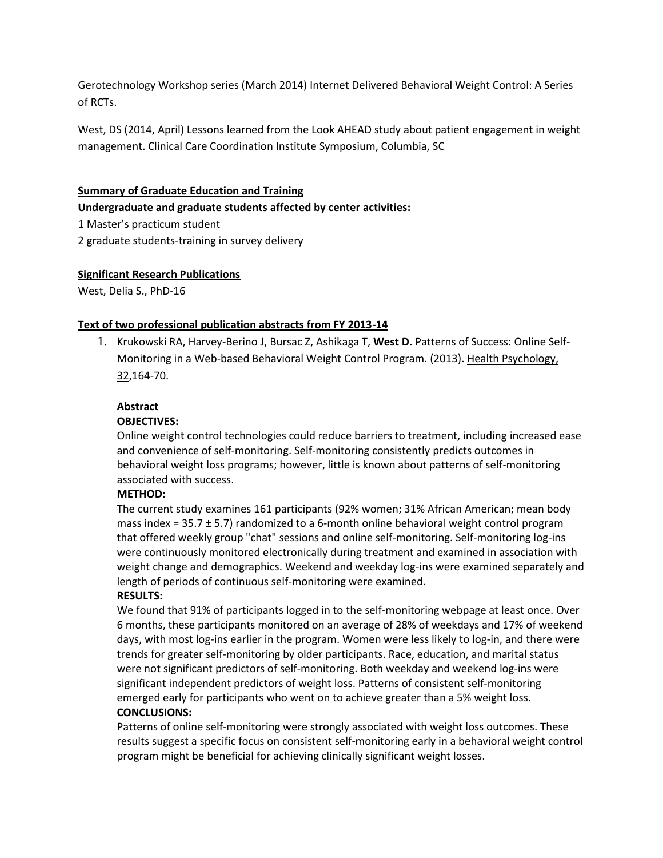Gerotechnology Workshop series (March 2014) Internet Delivered Behavioral Weight Control: A Series of RCTs.

West, DS (2014, April) Lessons learned from the Look AHEAD study about patient engagement in weight management. Clinical Care Coordination Institute Symposium, Columbia, SC

#### **Summary of Graduate Education and Training**

**Undergraduate and graduate students affected by center activities:**

1 Master's practicum student

2 graduate students-training in survey delivery

## **Significant Research Publications**

West, Delia S., PhD-16

## **Text of two professional publication abstracts from FY 2013-14**

1. Krukowski RA, Harvey-Berino J, Bursac Z, Ashikaga T, **West D.** Patterns of Success: Online Self-Monitoring in a Web-based Behavioral Weight Control Program. (2013). Health Psychology, 32,164-70.

## **Abstract**

## **OBJECTIVES:**

Online weight control technologies could reduce barriers to treatment, including increased ease and convenience of self-monitoring. Self-monitoring consistently predicts outcomes in behavioral weight loss programs; however, little is known about patterns of self-monitoring associated with success.

#### **METHOD:**

The current study examines 161 participants (92% women; 31% African American; mean body mass index =  $35.7 \pm 5.7$ ) randomized to a 6-month online behavioral weight control program that offered weekly group "chat" sessions and online self-monitoring. Self-monitoring log-ins were continuously monitored electronically during treatment and examined in association with weight change and demographics. Weekend and weekday log-ins were examined separately and length of periods of continuous self-monitoring were examined.

## **RESULTS:**

We found that 91% of participants logged in to the self-monitoring webpage at least once. Over 6 months, these participants monitored on an average of 28% of weekdays and 17% of weekend days, with most log-ins earlier in the program. Women were less likely to log-in, and there were trends for greater self-monitoring by older participants. Race, education, and marital status were not significant predictors of self-monitoring. Both weekday and weekend log-ins were significant independent predictors of weight loss. Patterns of consistent self-monitoring emerged early for participants who went on to achieve greater than a 5% weight loss. **CONCLUSIONS:** 

Patterns of online self-monitoring were strongly associated with weight loss outcomes. These results suggest a specific focus on consistent self-monitoring early in a behavioral weight control program might be beneficial for achieving clinically significant weight losses.